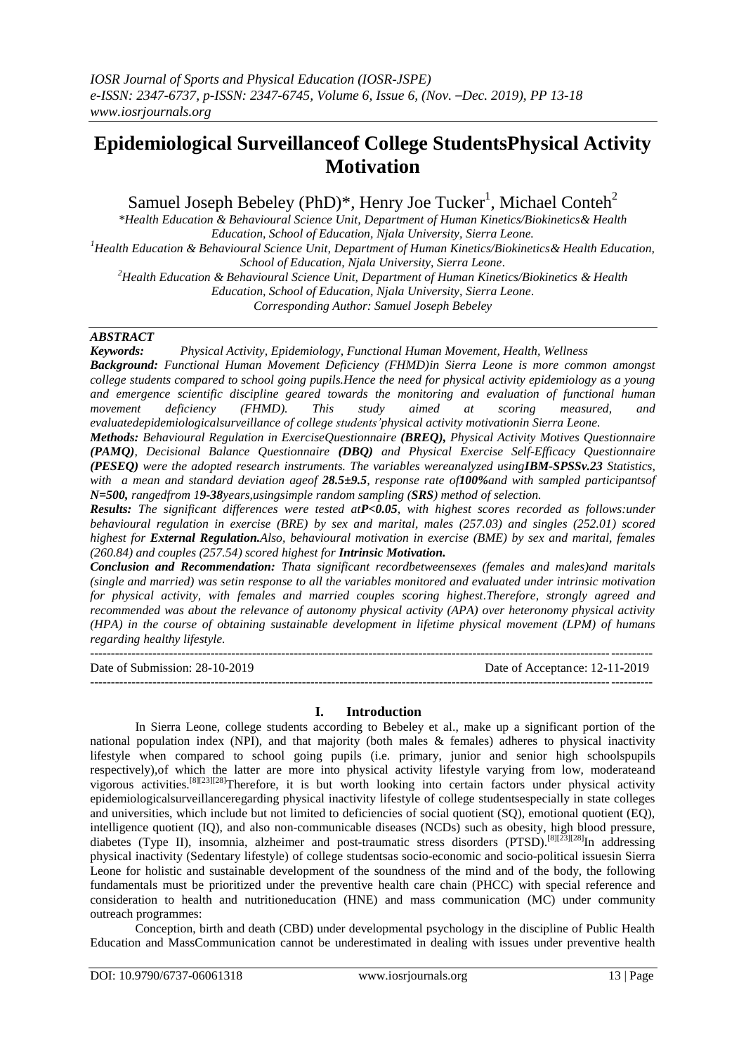# **Epidemiological Surveillanceof College StudentsPhysical Activity Motivation**

Samuel Joseph Bebeley (PhD)\*, Henry Joe Tucker<sup>1</sup>, Michael Conteh<sup>2</sup>

*\*Health Education & Behavioural Science Unit, Department of Human Kinetics/Biokinetics& Health Education, School of Education, Njala University, Sierra Leone.*

*<sup>1</sup>Health Education & Behavioural Science Unit, Department of Human Kinetics/Biokinetics& Health Education, School of Education, Njala University, Sierra Leone.*

*<sup>2</sup>Health Education & Behavioural Science Unit, Department of Human Kinetics/Biokinetics & Health Education, School of Education, Njala University, Sierra Leone.*

*Corresponding Author: Samuel Joseph Bebeley*

# *ABSTRACT*

*Keywords: Physical Activity, Epidemiology, Functional Human Movement, Health, Wellness* 

*Background: Functional Human Movement Deficiency (FHMD)in Sierra Leone is more common amongst college students compared to school going pupils.Hence the need for physical activity epidemiology as a young and emergence scientific discipline geared towards the monitoring and evaluation of functional human movement deficiency (FHMD). This study aimed at scoring measured, and evaluatedepidemiologicalsurveillance of college students'physical activity motivationin Sierra Leone.*

*Methods: Behavioural Regulation in ExerciseQuestionnaire (BREQ), Physical Activity Motives Questionnaire (PAMQ), Decisional Balance Questionnaire (DBQ) and Physical Exercise Self-Efficacy Questionnaire (PESEQ) were the adopted research instruments. The variables wereanalyzed usingIBM-SPSSv.23 Statistics, with a mean and standard deviation ageof 28.5±9.5, response rate of100%and with sampled participantsof N=500, rangedfrom 19-38years,usingsimple random sampling (SRS) method of selection.*

*Results: The significant differences were tested atP<0.05, with highest scores recorded as follows:under behavioural regulation in exercise (BRE) by sex and marital, males (257.03) and singles (252.01) scored highest for External Regulation.Also, behavioural motivation in exercise (BME) by sex and marital, females (260.84) and couples (257.54) scored highest for Intrinsic Motivation.*

*Conclusion and Recommendation: Thata significant recordbetweensexes (females and males)and maritals (single and married) was setin response to all the variables monitored and evaluated under intrinsic motivation for physical activity, with females and married couples scoring highest.Therefore, strongly agreed and recommended was about the relevance of autonomy physical activity (APA) over heteronomy physical activity (HPA) in the course of obtaining sustainable development in lifetime physical movement (LPM) of humans regarding healthy lifestyle.*

--------------------------------------------------------------------------------------------------------------------------------------- Date of Submission: 28-10-2019 Date of Acceptance: 12-11-2019 ---------------------------------------------------------------------------------------------------------------------------------------

## **I. Introduction**

In Sierra Leone, college students according to Bebeley et al., make up a significant portion of the national population index (NPI), and that majority (both males & females) adheres to physical inactivity lifestyle when compared to school going pupils (i.e. primary, junior and senior high schoolspupils respectively),of which the latter are more into physical activity lifestyle varying from low, moderateand vigorous activities.<sup>[8][23][28]</sup>Therefore, it is but worth looking into certain factors under physical activity epidemiologicalsurveillanceregarding physical inactivity lifestyle of college studentsespecially in state colleges and universities, which include but not limited to deficiencies of social quotient (SQ), emotional quotient (EQ), intelligence quotient (IQ), and also non-communicable diseases (NCDs) such as obesity, high blood pressure, diabetes (Type II), insomnia, alzheimer and post-traumatic stress disorders (PTSD).<sup>[8][23]</sup>[28]<sub>In addressing</sub> physical inactivity (Sedentary lifestyle) of college studentsas socio-economic and socio-political issuesin Sierra Leone for holistic and sustainable development of the soundness of the mind and of the body, the following fundamentals must be prioritized under the preventive health care chain (PHCC) with special reference and consideration to health and nutritioneducation (HNE) and mass communication (MC) under community outreach programmes:

Conception, birth and death (CBD) under developmental psychology in the discipline of Public Health Education and MassCommunication cannot be underestimated in dealing with issues under preventive health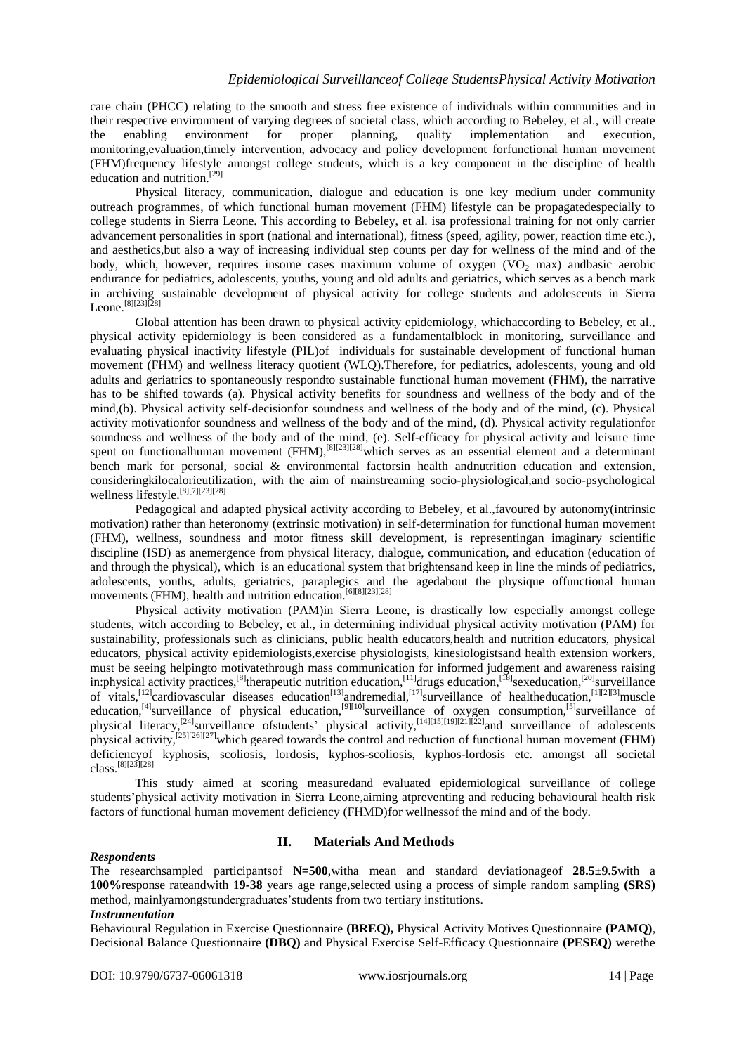care chain (PHCC) relating to the smooth and stress free existence of individuals within communities and in their respective environment of varying degrees of societal class, which according to Bebeley, et al., will create the enabling environment for proper planning, quality implementation and execution, monitoring,evaluation,timely intervention, advocacy and policy development forfunctional human movement (FHM)frequency lifestyle amongst college students, which is a key component in the discipline of health education and nutrition.<sup>[29]</sup>

Physical literacy, communication, dialogue and education is one key medium under community outreach programmes, of which functional human movement (FHM) lifestyle can be propagatedespecially to college students in Sierra Leone. This according to Bebeley, et al. isa professional training for not only carrier advancement personalities in sport (national and international), fitness (speed, agility, power, reaction time etc.), and aesthetics,but also a way of increasing individual step counts per day for wellness of the mind and of the body, which, however, requires insome cases maximum volume of oxygen  $(VO<sub>2</sub>$  max) andbasic aerobic endurance for pediatrics, adolescents, youths, young and old adults and geriatrics, which serves as a bench mark in archiving sustainable development of physical activity for college students and adolescents in Sierra Leone. [8][23][28]

Global attention has been drawn to physical activity epidemiology, whichaccording to Bebeley, et al., physical activity epidemiology is been considered as a fundamentalblock in monitoring, surveillance and evaluating physical inactivity lifestyle (PIL)of individuals for sustainable development of functional human movement (FHM) and wellness literacy quotient (WLQ).Therefore, for pediatrics, adolescents, young and old adults and geriatrics to spontaneously respondto sustainable functional human movement (FHM), the narrative has to be shifted towards (a). Physical activity benefits for soundness and wellness of the body and of the mind,(b). Physical activity self-decisionfor soundness and wellness of the body and of the mind, (c). Physical activity motivationfor soundness and wellness of the body and of the mind, (d). Physical activity regulationfor soundness and wellness of the body and of the mind, (e). Self-efficacy for physical activity and leisure time spent on functionalhuman movement (FHM),<sup>[8][23][28]</sup>which serves as an essential element and a determinant bench mark for personal, social & environmental factorsin health andnutrition education and extension, consideringkilocalorieutilization, with the aim of mainstreaming socio-physiological,and socio-psychological wellness lifestyle. [8][7][23][28]

Pedagogical and adapted physical activity according to Bebeley, et al.,favoured by autonomy(intrinsic motivation) rather than heteronomy (extrinsic motivation) in self-determination for functional human movement (FHM), wellness, soundness and motor fitness skill development, is representingan imaginary scientific discipline (ISD) as anemergence from physical literacy, dialogue, communication, and education (education of and through the physical), which is an educational system that brightensand keep in line the minds of pediatrics, adolescents, youths, adults, geriatrics, paraplegics and the agedabout the physique offunctional human movements (FHM), health and nutrition education. [6][8][23][28]

Physical activity motivation (PAM)in Sierra Leone, is drastically low especially amongst college students, witch according to Bebeley, et al., in determining individual physical activity motivation (PAM) for sustainability, professionals such as clinicians, public health educators,health and nutrition educators, physical educators, physical activity epidemiologists,exercise physiologists, kinesiologistsand health extension workers, must be seeing helpingto motivatethrough mass communication for informed judgement and awareness raising in:physical activity practices,<sup>[8]</sup>therapeutic nutrition education,<sup>[11]</sup>drugs education,<sup>[18]</sup>sexeducation,<sup>[20]</sup>surveillance of vitals,<sup>[12]</sup>cardiovascular diseases education<sup>[13]</sup>andremedial,<sup>[17]</sup>surveillance of healtheducation,<sup>[1][2][3]</sup>muscle education,<sup>[4]</sup>surveillance of physical education,<sup>[9][10]</sup>surveillance of oxygen consumption,<sup>[5]</sup>surveillance of physical literacy,<sup>[24]</sup>surveillance ofstudents' physical activity,<sup>[14][15][19][21][22]</sup>and surveillance of adolescents physical activity,<sup>[25][26][27]</sup>which geared towards the control and reduction of functional human movement (FHM) deficiencyof kyphosis, scoliosis, lordosis, kyphos-scoliosis, kyphos-lordosis etc. amongst all societal class. [8][23][28]

This study aimed at scoring measuredand evaluated epidemiological surveillance of college students'physical activity motivation in Sierra Leone,aiming atpreventing and reducing behavioural health risk factors of functional human movement deficiency (FHMD)for wellnessof the mind and of the body.

## *Respondents*

## **II. Materials And Methods**

The researchsampled participantsof **N=500**,witha mean and standard deviationageof **28.5±9.5**with a **100%**response rateandwith 1**9-38** years age range,selected using a process of simple random sampling **(SRS)** method, mainlyamongstundergraduates'students from two tertiary institutions.

#### *Instrumentation*

Behavioural Regulation in Exercise Questionnaire **(BREQ),** Physical Activity Motives Questionnaire **(PAMQ)**, Decisional Balance Questionnaire **(DBQ)** and Physical Exercise Self-Efficacy Questionnaire **(PESEQ)** werethe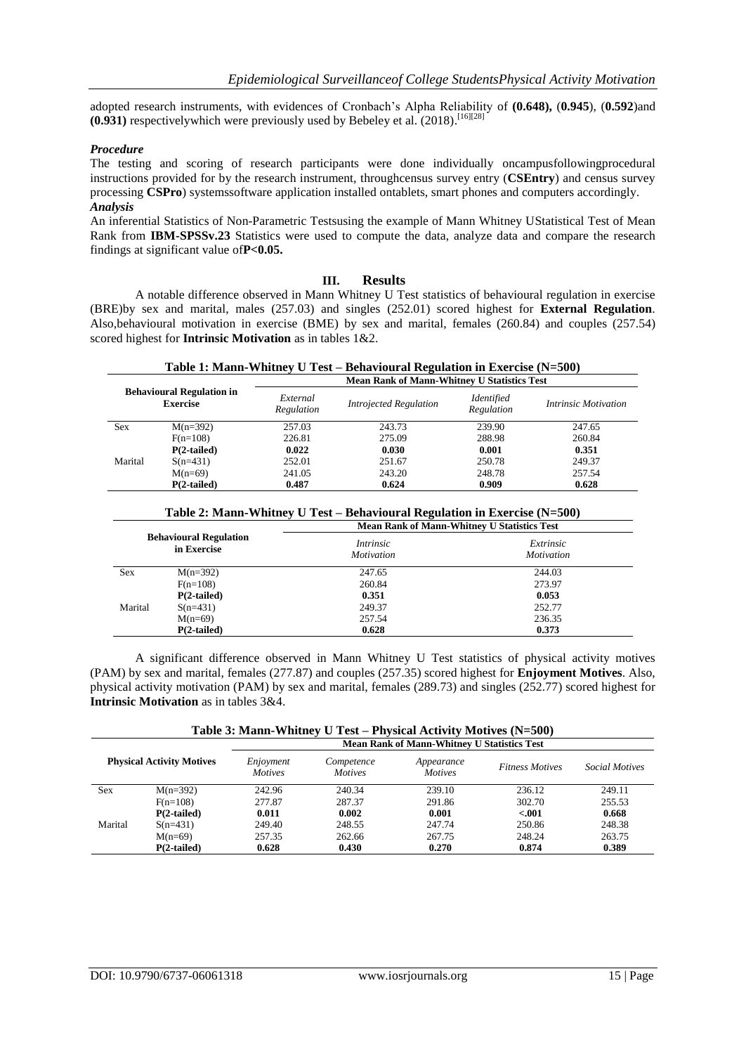adopted research instruments, with evidences of Cronbach's Alpha Reliability of **(0.648),** (**0.945**), (**0.592**)and **(0.931)** respectivelywhich were previously used by Bebeley et al. (2018). [16][28]

### *Procedure*

The testing and scoring of research participants were done individually oncampusfollowingprocedural instructions provided for by the research instrument, throughcensus survey entry (**CSEntry**) and census survey processing **CSPro**) systemssoftware application installed ontablets, smart phones and computers accordingly. *Analysis*

An inferential Statistics of Non-Parametric Testsusing the example of Mann Whitney UStatistical Test of Mean Rank from **IBM-SPSSv.23** Statistics were used to compute the data, analyze data and compare the research findings at significant value of**P<0.05.**

### **III. Results**

A notable difference observed in Mann Whitney U Test statistics of behavioural regulation in exercise (BRE)by sex and marital, males (257.03) and singles (252.01) scored highest for **External Regulation**. Also,behavioural motivation in exercise (BME) by sex and marital, females (260.84) and couples (257.54) scored highest for **Intrinsic Motivation** as in tables 1&2.

**Table 1: Mann-Whitney U Test – Behavioural Regulation in Exercise (N=500)**

| <b>Behavioural Regulation in</b><br><b>Exercise</b> |               | <b>Mean Rank of Mann-Whitney U Statistics Test</b> |                               |                          |                             |  |
|-----------------------------------------------------|---------------|----------------------------------------------------|-------------------------------|--------------------------|-----------------------------|--|
|                                                     |               | External<br>Regulation                             | <b>Introjected Regulation</b> | Identified<br>Regulation | <i>Intrinsic Motivation</i> |  |
| <b>Sex</b>                                          | $M(n=392)$    | 257.03                                             | 243.73                        | 239.90                   | 247.65                      |  |
|                                                     | $F(n=108)$    | 226.81                                             | 275.09                        | 288.98                   | 260.84                      |  |
|                                                     | $P(2-tailed)$ | 0.022                                              | 0.030                         | 0.001                    | 0.351                       |  |
| Marital                                             | $S(n=431)$    | 252.01                                             | 251.67                        | 250.78                   | 249.37                      |  |
|                                                     | $M(n=69)$     | 241.05                                             | 243.20                        | 248.78                   | 257.54                      |  |
|                                                     | $P(2-tailed)$ | 0.487                                              | 0.624                         | 0.909                    | 0.628                       |  |

# **Table 2: Mann-Whitney U Test – Behavioural Regulation in Exercise (N=500)**

|                                              | <b>Mean Rank of Mann-Whitney U Statistics Test</b> |                                |  |  |
|----------------------------------------------|----------------------------------------------------|--------------------------------|--|--|
| <b>Behavioural Regulation</b><br>in Exercise | <i>Intrinsic</i><br><i>Motivation</i>              | Extrinsic<br><i>Motivation</i> |  |  |
| $M(n=392)$                                   | 247.65                                             | 244.03                         |  |  |
| $F(n=108)$                                   | 260.84                                             | 273.97                         |  |  |
| $P(2-tailed)$                                | 0.351                                              | 0.053                          |  |  |
| $S(n=431)$                                   | 249.37                                             | 252.77                         |  |  |
| $M(n=69)$                                    | 257.54                                             | 236.35                         |  |  |
| $P(2-tailed)$                                | 0.628                                              | 0.373                          |  |  |
|                                              |                                                    |                                |  |  |

A significant difference observed in Mann Whitney U Test statistics of physical activity motives (PAM) by sex and marital, females (277.87) and couples (257.35) scored highest for **Enjoyment Motives**. Also, physical activity motivation (PAM) by sex and marital, females (289.73) and singles (252.77) scored highest for **Intrinsic Motivation** as in tables 3&4.

|                                  | Table 3: Mann-Whitney U Test – Physical Activity Motives (N=500) |                                                    |                              |                              |                        |                       |  |
|----------------------------------|------------------------------------------------------------------|----------------------------------------------------|------------------------------|------------------------------|------------------------|-----------------------|--|
|                                  |                                                                  | <b>Mean Rank of Mann-Whitney U Statistics Test</b> |                              |                              |                        |                       |  |
| <b>Physical Activity Motives</b> |                                                                  | Enjoyment<br><b>Motives</b>                        | Competence<br><b>Motives</b> | Appearance<br><i>Motives</i> | <b>Fitness Motives</b> | <i>Social Motives</i> |  |
| <b>Sex</b>                       | $M(n=392)$                                                       | 242.96                                             | 240.34                       | 239.10                       | 236.12                 | 249.11                |  |
|                                  | $F(n=108)$                                                       | 277.87                                             | 287.37                       | 291.86                       | 302.70                 | 255.53                |  |
|                                  | $P(2-tailed)$                                                    | 0.011                                              | 0.002                        | 0.001                        | $-.001$                | 0.668                 |  |
| Marital                          | $S(n=431)$                                                       | 249.40                                             | 248.55                       | 247.74                       | 250.86                 | 248.38                |  |
|                                  | $M(n=69)$                                                        | 257.35                                             | 262.66                       | 267.75                       | 248.24                 | 263.75                |  |
|                                  | $P(2-tailed)$                                                    | 0.628                                              | 0.430                        | 0.270                        | 0.874                  | 0.389                 |  |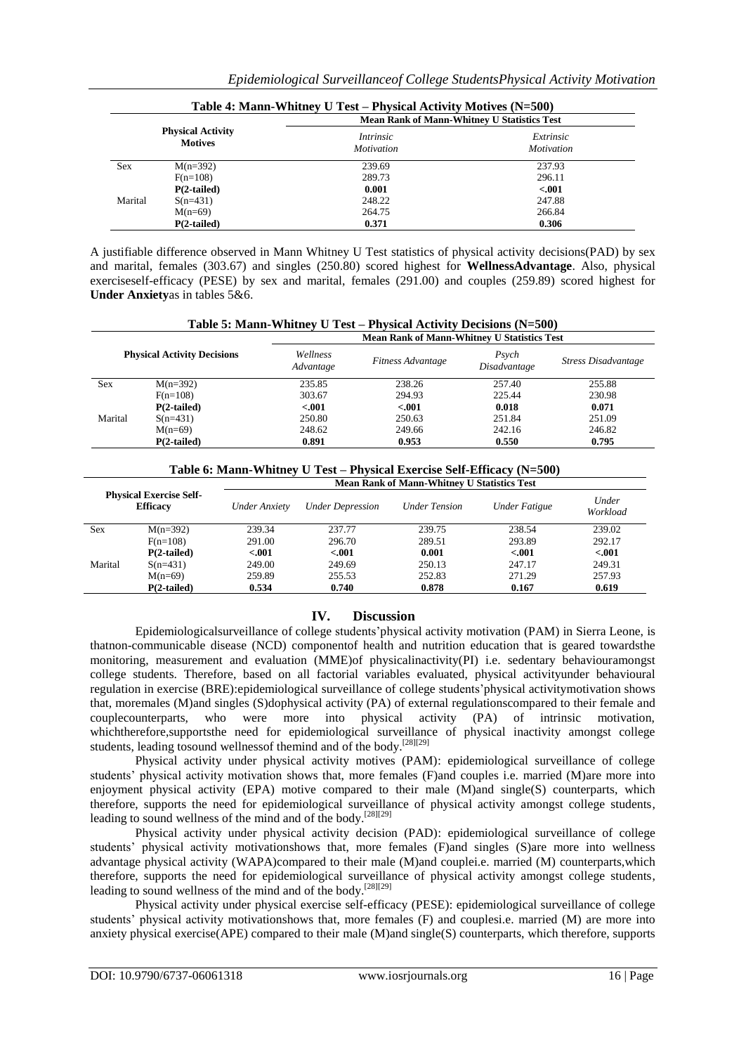|            |                                            | <b>Mean Rank of Mann-Whitney U Statistics Test</b> |                                |
|------------|--------------------------------------------|----------------------------------------------------|--------------------------------|
|            | <b>Physical Activity</b><br><b>Motives</b> | <i>Intrinsic</i><br><i>Motivation</i>              | Extrinsic<br><i>Motivation</i> |
| <b>Sex</b> | $M(n=392)$                                 | 239.69                                             | 237.93                         |
|            | $F(n=108)$                                 | 289.73                                             | 296.11                         |
|            | $P(2-tailed)$                              | 0.001                                              | $-.001$                        |
| Marital    | $S(n=431)$                                 | 248.22                                             | 247.88                         |
|            | $M(n=69)$                                  | 264.75                                             | 266.84                         |
|            | $P(2-tailed)$                              | 0.371                                              | 0.306                          |

A justifiable difference observed in Mann Whitney U Test statistics of physical activity decisions(PAD) by sex and marital, females (303.67) and singles (250.80) scored highest for **WellnessAdvantage**. Also, physical exerciseself-efficacy (PESE) by sex and marital, females (291.00) and couples (259.89) scored highest for **Under Anxiety**as in tables 5&6.

|                                    |               | <b>Mean Rank of Mann-Whitney U Statistics Test</b> |                   |                       |                            |  |
|------------------------------------|---------------|----------------------------------------------------|-------------------|-----------------------|----------------------------|--|
| <b>Physical Activity Decisions</b> |               | Wellness<br>Advantage                              | Fitness Advantage | Psych<br>Disadvantage | <b>Stress Disadvantage</b> |  |
| <b>Sex</b>                         | $M(n=392)$    | 235.85                                             | 238.26            | 257.40                | 255.88                     |  |
|                                    | $F(n=108)$    | 303.67                                             | 294.93            | 225.44                | 230.98                     |  |
|                                    | $P(2-tailed)$ | < .001                                             | $-.001$           | 0.018                 | 0.071                      |  |
| Marital                            | $S(n=431)$    | 250.80                                             | 250.63            | 251.84                | 251.09                     |  |
|                                    | $M(n=69)$     | 248.62                                             | 249.66            | 242.16                | 246.82                     |  |
|                                    | $P(2-tailed)$ | 0.891                                              | 0.953             | 0.550                 | 0.795                      |  |

**Table 6: Mann-Whitney U Test – Physical Exercise Self-Efficacy (N=500)**

| <b>Physical Exercise Self-</b><br><b>Efficacy</b> |               | <b>Mean Rank of Mann-Whitney U Statistics Test</b> |                         |                      |               |                   |  |
|---------------------------------------------------|---------------|----------------------------------------------------|-------------------------|----------------------|---------------|-------------------|--|
|                                                   |               | Under Anxiety                                      | <b>Under Depression</b> | <b>Under Tension</b> | Under Fatigue | Under<br>Workload |  |
| <b>Sex</b>                                        | $M(n=392)$    | 239.34                                             | 237.77                  | 239.75               | 238.54        | 239.02            |  |
|                                                   | $F(n=108)$    | 291.00                                             | 296.70                  | 289.51               | 293.89        | 292.17            |  |
|                                                   | $P(2-tailed)$ | < 0.01                                             | < .001                  | 0.001                | < 0.01        | $-.001$           |  |
| Marital                                           | $S(n=431)$    | 249.00                                             | 249.69                  | 250.13               | 247.17        | 249.31            |  |
|                                                   | $M(n=69)$     | 259.89                                             | 255.53                  | 252.83               | 271.29        | 257.93            |  |
|                                                   | $P(2-tailed)$ | 0.534                                              | 0.740                   | 0.878                | 0.167         | 0.619             |  |

## **IV. Discussion**

Epidemiologicalsurveillance of college students'physical activity motivation (PAM) in Sierra Leone, is thatnon-communicable disease (NCD) componentof health and nutrition education that is geared towardsthe monitoring, measurement and evaluation (MME)of physicalinactivity(PI) i.e. sedentary behaviouramongst college students. Therefore, based on all factorial variables evaluated, physical activityunder behavioural regulation in exercise (BRE):epidemiological surveillance of college students'physical activitymotivation shows that, moremales (M)and singles (S)dophysical activity (PA) of external regulationscompared to their female and couplecounterparts, who were more into physical activity (PA) of intrinsic motivation, whichtherefore,supportsthe need for epidemiological surveillance of physical inactivity amongst college students, leading tosound wellnessof themind and of the body.<sup>[28][29]</sup>

Physical activity under physical activity motives (PAM): epidemiological surveillance of college students' physical activity motivation shows that, more females (F)and couples i.e. married (M)are more into enjoyment physical activity (EPA) motive compared to their male (M)and single(S) counterparts, which therefore, supports the need for epidemiological surveillance of physical activity amongst college students, leading to sound wellness of the mind and of the body.<sup>[28][29]</sup>

Physical activity under physical activity decision (PAD): epidemiological surveillance of college students' physical activity motivationshows that, more females (F)and singles (S)are more into wellness advantage physical activity (WAPA)compared to their male (M)and couplei.e. married (M) counterparts,which therefore, supports the need for epidemiological surveillance of physical activity amongst college students, leading to sound wellness of the mind and of the body.<sup>[28][29]</sup>

Physical activity under physical exercise self-efficacy (PESE): epidemiological surveillance of college students' physical activity motivationshows that, more females (F) and couplesi.e. married (M) are more into anxiety physical exercise(APE) compared to their male (M)and single(S) counterparts, which therefore, supports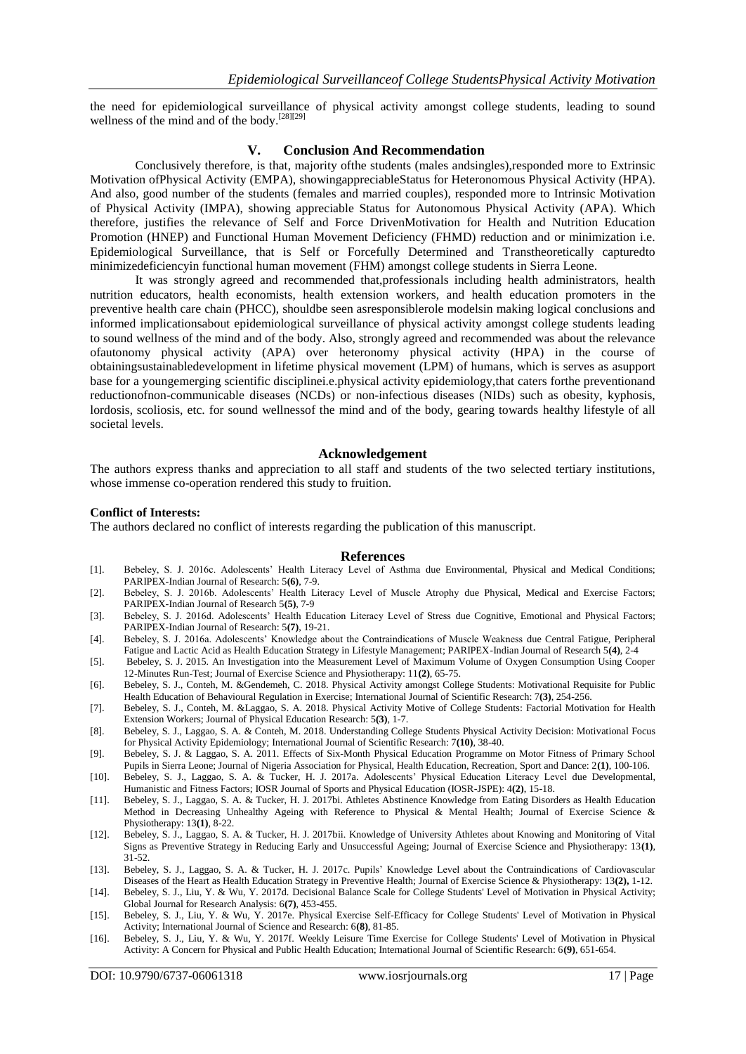the need for epidemiological surveillance of physical activity amongst college students, leading to sound wellness of the mind and of the body.<sup>[28][29]</sup>

#### **V. Conclusion And Recommendation**

Conclusively therefore, is that, majority ofthe students (males andsingles),responded more to Extrinsic Motivation ofPhysical Activity (EMPA), showingappreciableStatus for Heteronomous Physical Activity (HPA). And also, good number of the students (females and married couples), responded more to Intrinsic Motivation of Physical Activity (IMPA), showing appreciable Status for Autonomous Physical Activity (APA). Which therefore, justifies the relevance of Self and Force DrivenMotivation for Health and Nutrition Education Promotion (HNEP) and Functional Human Movement Deficiency (FHMD) reduction and or minimization i.e. Epidemiological Surveillance, that is Self or Forcefully Determined and Transtheoretically capturedto minimizedeficiencyin functional human movement (FHM) amongst college students in Sierra Leone.

It was strongly agreed and recommended that,professionals including health administrators, health nutrition educators, health economists, health extension workers, and health education promoters in the preventive health care chain (PHCC), shouldbe seen asresponsiblerole modelsin making logical conclusions and informed implicationsabout epidemiological surveillance of physical activity amongst college students leading to sound wellness of the mind and of the body. Also, strongly agreed and recommended was about the relevance ofautonomy physical activity (APA) over heteronomy physical activity (HPA) in the course of obtainingsustainabledevelopment in lifetime physical movement (LPM) of humans, which is serves as asupport base for a youngemerging scientific disciplinei.e.physical activity epidemiology,that caters forthe preventionand reductionofnon-communicable diseases (NCDs) or non-infectious diseases (NIDs) such as obesity, kyphosis, lordosis, scoliosis, etc. for sound wellnessof the mind and of the body, gearing towards healthy lifestyle of all societal levels.

#### **Acknowledgement**

The authors express thanks and appreciation to all staff and students of the two selected tertiary institutions, whose immense co-operation rendered this study to fruition.

#### **Conflict of Interests:**

The authors declared no conflict of interests regarding the publication of this manuscript.

#### **References**

- [1]. Bebeley, S. J. 2016c. Adolescents' Health Literacy Level of Asthma due Environmental, Physical and Medical Conditions; PARIPEX-Indian Journal of Research: 5**(6)**, 7-9.
- [2]. Bebeley, S. J. 2016b. Adolescents' Health Literacy Level of Muscle Atrophy due Physical, Medical and Exercise Factors; PARIPEX-Indian Journal of Research 5**(5)**, 7-9
- [3]. Bebeley, S. J. 2016d. Adolescents' Health Education Literacy Level of Stress due Cognitive, Emotional and Physical Factors; PARIPEX-Indian Journal of Research: 5**(7)**, 19-21.
- [4]. Bebeley, S. J. 2016a. Adolescents' Knowledge about the Contraindications of Muscle Weakness due Central Fatigue, Peripheral Fatigue and Lactic Acid as Health Education Strategy in Lifestyle Management; PARIPEX-Indian Journal of Research 5**(4)**, 2-4
- [5]. Bebeley, S. J. 2015. An Investigation into the Measurement Level of Maximum Volume of Oxygen Consumption Using Cooper 12-Minutes Run-Test; Journal of Exercise Science and Physiotherapy: 11**(2)**, 65-75.
- [6]. Bebeley, S. J., Conteh, M. &Gendemeh, C. 2018. Physical Activity amongst College Students: Motivational Requisite for Public Health Education of Behavioural Regulation in Exercise; International Journal of Scientific Research: 7**(3)**, 254-256.
- [7]. Bebeley, S. J., Conteh, M. &Laggao, S. A. 2018. Physical Activity Motive of College Students: Factorial Motivation for Health Extension Workers; Journal of Physical Education Research: 5**(3)**, 1-7.
- [8]. Bebeley, S. J., Laggao, S. A. & Conteh, M. 2018. Understanding College Students Physical Activity Decision: Motivational Focus for Physical Activity Epidemiology; International Journal of Scientific Research: 7**(10)**, 38-40.
- [9]. Bebeley, S. J. & Laggao, S. A. 2011. Effects of Six-Month Physical Education Programme on Motor Fitness of Primary School Pupils in Sierra Leone; Journal of Nigeria Association for Physical, Health Education, Recreation, Sport and Dance: 2**(1)**, 100-106.
- [10]. Bebeley, S. J., Laggao, S. A. & Tucker, H. J. 2017a. Adolescents' Physical Education Literacy Level due Developmental, Humanistic and Fitness Factors; IOSR Journal of Sports and Physical Education (IOSR-JSPE): 4**(2)**, 15-18.
- [11]. Bebeley, S. J., Laggao, S. A. & Tucker, H. J. 2017bi. Athletes Abstinence Knowledge from Eating Disorders as Health Education Method in Decreasing Unhealthy Ageing with Reference to Physical & Mental Health; Journal of Exercise Science & Physiotherapy: 13**(1)**, 8-22.
- [12]. Bebeley, S. J., Laggao, S. A. & Tucker, H. J. 2017bii. Knowledge of University Athletes about Knowing and Monitoring of Vital Signs as Preventive Strategy in Reducing Early and Unsuccessful Ageing; Journal of Exercise Science and Physiotherapy: 13**(1)**, 31-52.
- [13]. Bebeley, S. J., Laggao, S. A. & Tucker, H. J. 2017c. Pupils' Knowledge Level about the Contraindications of Cardiovascular Diseases of the Heart as Health Education Strategy in Preventive Health; Journal of Exercise Science & Physiotherapy: 13**(2),** 1-12. [14]. Bebeley, S. J., Liu, Y. & Wu, Y. 2017d. Decisional Balance Scale for College Students' Level of Motivation in Physical Activity;
- Global Journal for Research Analysis: 6**(7)**, 453-455.
- [15]. Bebeley, S. J., Liu, Y. & Wu, Y. 2017e. Physical Exercise Self-Efficacy for College Students' Level of Motivation in Physical Activity; International Journal of Science and Research: 6**(8)**, 81-85.
- [16]. Bebeley, S. J., Liu, Y. & Wu, Y. 2017f. Weekly Leisure Time Exercise for College Students' Level of Motivation in Physical Activity: A Concern for Physical and Public Health Education; International Journal of Scientific Research: 6**(9)**, 651-654.